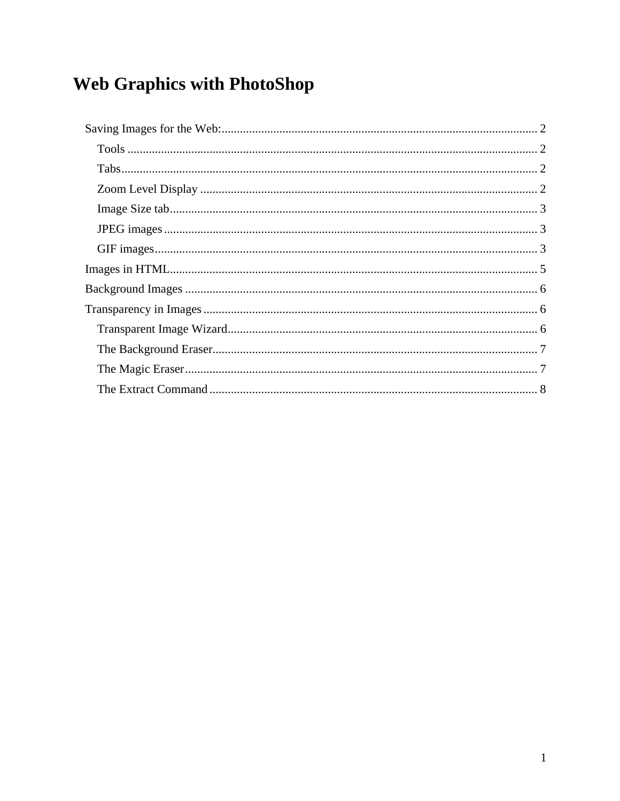# Web Graphics with PhotoShop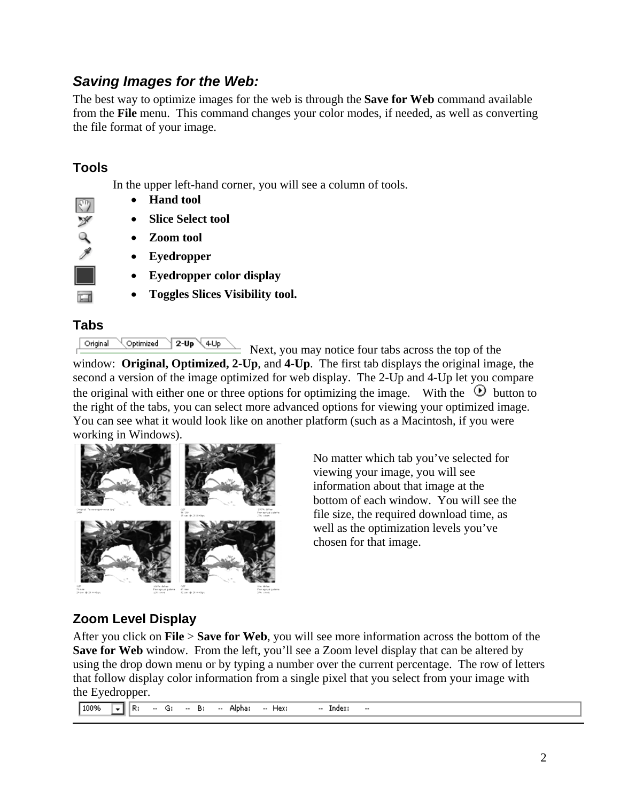## *Saving Images for the Web:*

The best way to optimize images for the web is through the **Save for Web** command available from the **File** menu. This command changes your color modes, if needed, as well as converting the file format of your image.

#### **Tools**

ආ Þ In the upper left-hand corner, you will see a column of tools.

- **Hand tool**
- **Slice Select tool**
- **Zoom tool**
- **Eyedropper**
- **Eyedropper color display**
- **Toggles Slices Visibility tool.**

#### **Tabs**

Original Optimized  $2-Up$ ∖4Up

 Next, you may notice four tabs across the top of the window: **Original, Optimized, 2-Up**, and **4-Up**. The first tab displays the original image, the second a version of the image optimized for web display. The 2-Up and 4-Up let you compare the original with either one or three options for optimizing the image. With the  $\Theta$  button to the right of the tabs, you can select more advanced options for viewing your optimized image. You can see what it would look like on another platform (such as a Macintosh, if you were working in Windows).



No matter which tab you've selected for viewing your image, you will see information about that image at the bottom of each window. You will see the file size, the required download time, as well as the optimization levels you've chosen for that image.

## **Zoom Level Display**

After you click on **File** > **Save for Web**, you will see more information across the bottom of the **Save for Web** window. From the left, you'll see a Zoom level display that can be altered by using the drop down menu or by typing a number over the current percentage. The row of letters that follow display color information from a single pixel that you select from your image with the Eyedropper.

100% च छि  $\sim$  G:  $B$ -- Alpha: -- Hex: -- Index:  $\ddotsc$  $\ddotsc$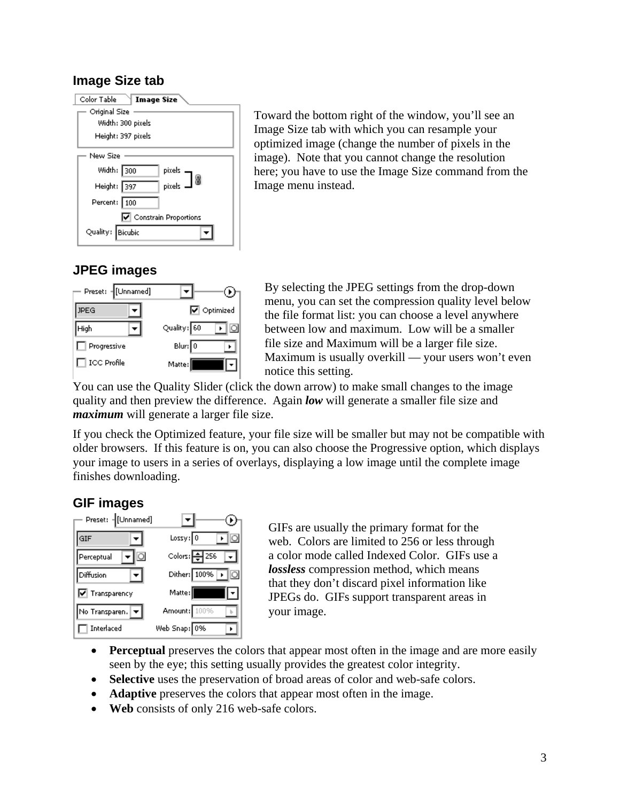#### **Image Size tab**

| Color Table<br>Image Size            |
|--------------------------------------|
| Original Size                        |
| Width: 300 pixels                    |
| Height: 397 pixels                   |
| New Size                             |
| Width: 300<br>pixels  —<br>pixels  — |
| 8<br>Height: 397                     |
| Percent: 100                         |
| Constrain Proportions                |
| Quality: Bicubic                     |

Toward the bottom right of the window, you'll see an Image Size tab with which you can resample your optimized image (change the number of pixels in the image). Note that you cannot change the resolution here; you have to use the Image Size command from the Image menu instead.

#### **JPEG images**



By selecting the JPEG settings from the drop-down menu, you can set the compression quality level below the file format list: you can choose a level anywhere between low and maximum. Low will be a smaller file size and Maximum will be a larger file size. Maximum is usually overkill — your users won't even notice this setting.

You can use the Quality Slider (click the down arrow) to make small changes to the image quality and then preview the difference. Again *low* will generate a smaller file size and *maximum* will generate a larger file size.

If you check the Optimized feature, your file size will be smaller but may not be compatible with older browsers. If this feature is on, you can also choose the Progressive option, which displays your image to users in a series of overlays, displaying a low image until the complete image finishes downloading.

#### **GIF images**



GIFs are usually the primary format for the web. Colors are limited to 256 or less through a color mode called Indexed Color. GIFs use a *lossless* compression method, which means that they don't discard pixel information like JPEGs do. GIFs support transparent areas in your image.

- **Perceptual** preserves the colors that appear most often in the image and are more easily seen by the eye; this setting usually provides the greatest color integrity.
- **Selective** uses the preservation of broad areas of color and web-safe colors.
- **Adaptive** preserves the colors that appear most often in the image.
- **Web** consists of only 216 web-safe colors.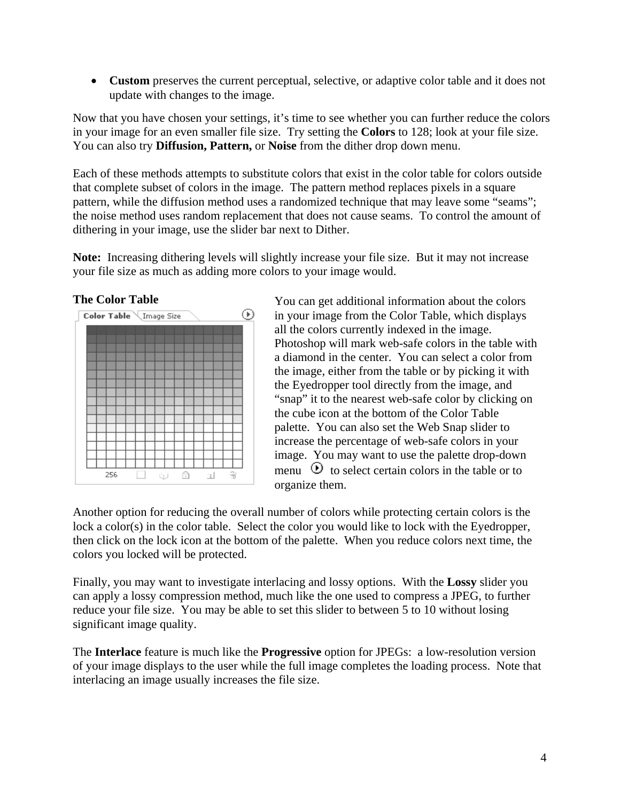• **Custom** preserves the current perceptual, selective, or adaptive color table and it does not update with changes to the image.

Now that you have chosen your settings, it's time to see whether you can further reduce the colors in your image for an even smaller file size. Try setting the **Colors** to 128; look at your file size. You can also try **Diffusion, Pattern,** or **Noise** from the dither drop down menu.

Each of these methods attempts to substitute colors that exist in the color table for colors outside that complete subset of colors in the image. The pattern method replaces pixels in a square pattern, while the diffusion method uses a randomized technique that may leave some "seams"; the noise method uses random replacement that does not cause seams. To control the amount of dithering in your image, use the slider bar next to Dither.

**Note:** Increasing dithering levels will slightly increase your file size. But it may not increase your file size as much as adding more colors to your image would.

**The Color Table** 



You can get additional information about the colors in your image from the Color Table, which displays all the colors currently indexed in the image. Photoshop will mark web-safe colors in the table with a diamond in the center. You can select a color from the image, either from the table or by picking it with the Eyedropper tool directly from the image, and "snap" it to the nearest web-safe color by clicking on the cube icon at the bottom of the Color Table palette. You can also set the Web Snap slider to increase the percentage of web-safe colors in your image. You may want to use the palette drop-down menu  $\Theta$  to select certain colors in the table or to organize them.

Another option for reducing the overall number of colors while protecting certain colors is the lock a color(s) in the color table. Select the color you would like to lock with the Eyedropper, then click on the lock icon at the bottom of the palette. When you reduce colors next time, the colors you locked will be protected.

Finally, you may want to investigate interlacing and lossy options. With the **Lossy** slider you can apply a lossy compression method, much like the one used to compress a JPEG, to further reduce your file size. You may be able to set this slider to between 5 to 10 without losing significant image quality.

The **Interlace** feature is much like the **Progressive** option for JPEGs: a low-resolution version of your image displays to the user while the full image completes the loading process. Note that interlacing an image usually increases the file size.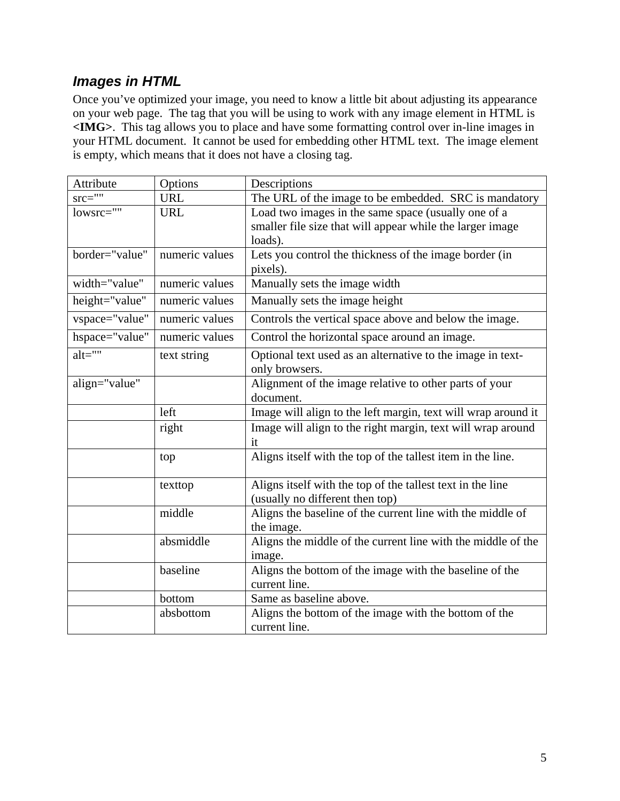## *Images in HTML*

Once you've optimized your image, you need to know a little bit about adjusting its appearance on your web page. The tag that you will be using to work with any image element in HTML is **<IMG>**. This tag allows you to place and have some formatting control over in-line images in your HTML document. It cannot be used for embedding other HTML text. The image element is empty, which means that it does not have a closing tag.

| Attribute      | Options        | Descriptions                                                  |  |  |  |
|----------------|----------------|---------------------------------------------------------------|--|--|--|
| $src=""$       | <b>URL</b>     | The URL of the image to be embedded. SRC is mandatory         |  |  |  |
| lowsrc=""      | <b>URL</b>     | Load two images in the same space (usually one of a           |  |  |  |
|                |                | smaller file size that will appear while the larger image     |  |  |  |
|                |                | loads).                                                       |  |  |  |
| border="value" | numeric values | Lets you control the thickness of the image border (in        |  |  |  |
|                |                | pixels).                                                      |  |  |  |
| width="value"  | numeric values | Manually sets the image width                                 |  |  |  |
| height="value" | numeric values | Manually sets the image height                                |  |  |  |
| vspace="value" | numeric values | Controls the vertical space above and below the image.        |  |  |  |
| hspace="value" | numeric values | Control the horizontal space around an image.                 |  |  |  |
| $alt="$ "      | text string    | Optional text used as an alternative to the image in text-    |  |  |  |
|                |                | only browsers.                                                |  |  |  |
| align="value"  |                | Alignment of the image relative to other parts of your        |  |  |  |
|                |                | document.                                                     |  |  |  |
|                | left           | Image will align to the left margin, text will wrap around it |  |  |  |
|                | right          | Image will align to the right margin, text will wrap around   |  |  |  |
|                |                | it                                                            |  |  |  |
|                | top            | Aligns itself with the top of the tallest item in the line.   |  |  |  |
|                |                |                                                               |  |  |  |
|                | texttop        | Aligns itself with the top of the tallest text in the line    |  |  |  |
|                |                | (usually no different then top)                               |  |  |  |
|                | middle         | Aligns the baseline of the current line with the middle of    |  |  |  |
|                |                | the image.                                                    |  |  |  |
|                | absmiddle      | Aligns the middle of the current line with the middle of the  |  |  |  |
|                |                | image.                                                        |  |  |  |
|                | baseline       | Aligns the bottom of the image with the baseline of the       |  |  |  |
|                |                | current line.                                                 |  |  |  |
|                | bottom         | Same as baseline above.                                       |  |  |  |
|                | absbottom      | Aligns the bottom of the image with the bottom of the         |  |  |  |
|                |                | current line.                                                 |  |  |  |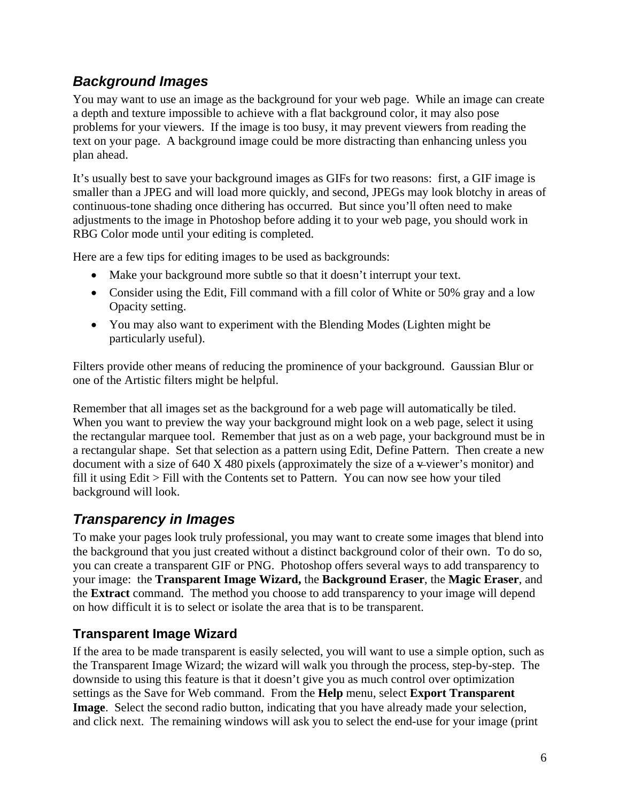## *Background Images*

You may want to use an image as the background for your web page. While an image can create a depth and texture impossible to achieve with a flat background color, it may also pose problems for your viewers. If the image is too busy, it may prevent viewers from reading the text on your page. A background image could be more distracting than enhancing unless you plan ahead.

It's usually best to save your background images as GIFs for two reasons: first, a GIF image is smaller than a JPEG and will load more quickly, and second, JPEGs may look blotchy in areas of continuous-tone shading once dithering has occurred. But since you'll often need to make adjustments to the image in Photoshop before adding it to your web page, you should work in RBG Color mode until your editing is completed.

Here are a few tips for editing images to be used as backgrounds:

- Make your background more subtle so that it doesn't interrupt your text.
- Consider using the Edit, Fill command with a fill color of White or 50% gray and a low Opacity setting.
- You may also want to experiment with the Blending Modes (Lighten might be particularly useful).

Filters provide other means of reducing the prominence of your background. Gaussian Blur or one of the Artistic filters might be helpful.

Remember that all images set as the background for a web page will automatically be tiled. When you want to preview the way your background might look on a web page, select it using the rectangular marquee tool. Remember that just as on a web page, your background must be in a rectangular shape. Set that selection as a pattern using Edit, Define Pattern. Then create a new document with a size of 640 X 480 pixels (approximately the size of a  $\div$ viewer's monitor) and fill it using Edit > Fill with the Contents set to Pattern. You can now see how your tiled background will look.

## *Transparency in Images*

To make your pages look truly professional, you may want to create some images that blend into the background that you just created without a distinct background color of their own. To do so, you can create a transparent GIF or PNG. Photoshop offers several ways to add transparency to your image: the **Transparent Image Wizard,** the **Background Eraser**, the **Magic Eraser**, and the **Extract** command. The method you choose to add transparency to your image will depend on how difficult it is to select or isolate the area that is to be transparent.

## **Transparent Image Wizard**

If the area to be made transparent is easily selected, you will want to use a simple option, such as the Transparent Image Wizard; the wizard will walk you through the process, step-by-step. The downside to using this feature is that it doesn't give you as much control over optimization settings as the Save for Web command. From the **Help** menu, select **Export Transparent Image**. Select the second radio button, indicating that you have already made your selection, and click next. The remaining windows will ask you to select the end-use for your image (print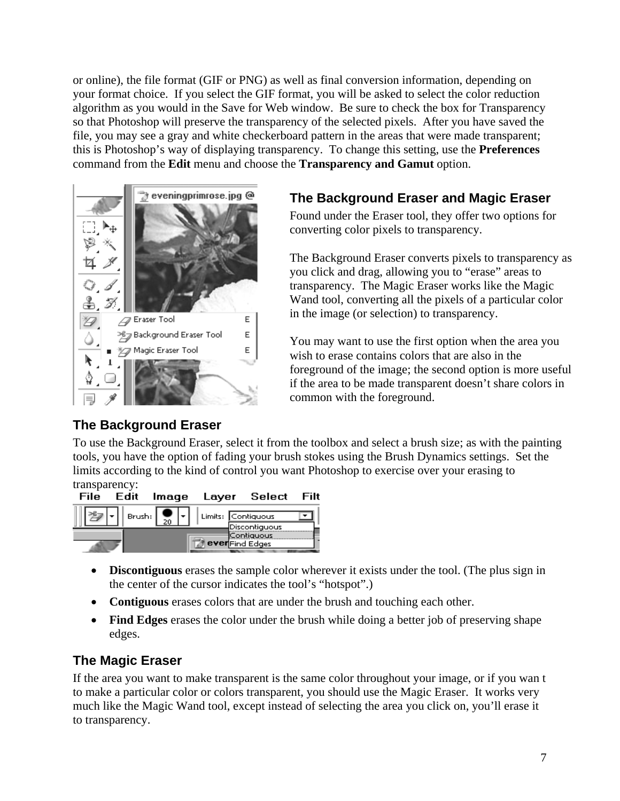or online), the file format (GIF or PNG) as well as final conversion information, depending on your format choice. If you select the GIF format, you will be asked to select the color reduction algorithm as you would in the Save for Web window. Be sure to check the box for Transparency so that Photoshop will preserve the transparency of the selected pixels. After you have saved the file, you may see a gray and white checkerboard pattern in the areas that were made transparent; this is Photoshop's way of displaying transparency. To change this setting, use the **Preferences** command from the **Edit** menu and choose the **Transparency and Gamut** option.



## **The Background Eraser**

#### **The Background Eraser and Magic Eraser**

Found under the Eraser tool, they offer two options for converting color pixels to transparency.

The Background Eraser converts pixels to transparency as you click and drag, allowing you to "erase" areas to transparency. The Magic Eraser works like the Magic Wand tool, converting all the pixels of a particular color in the image (or selection) to transparency.

You may want to use the first option when the area you wish to erase contains colors that are also in the foreground of the image; the second option is more useful if the area to be made transparent doesn't share colors in common with the foreground.

To use the Background Eraser, select it from the toolbox and select a brush size; as with the painting tools, you have the option of fading your brush stokes using the Brush Dynamics settings. Set the limits according to the kind of control you want Photoshop to exercise over your erasing to transparency:

| File |                                                                                                                                                           |                        | Edit Imaqe Layer Select Filt |  |
|------|-----------------------------------------------------------------------------------------------------------------------------------------------------------|------------------------|------------------------------|--|
|      | $\left  \begin{array}{c} \mathsf{Brush:} \\ \hline \end{array} \right  \leftarrow \left  \begin{array}{c} \mathsf{Limits:} \\ \hline \end{array} \right $ |                        |                              |  |
|      |                                                                                                                                                           | <b>ever</b> Find Edges | Discontiguous<br>≹Contiguous |  |

- **Discontiguous** erases the sample color wherever it exists under the tool. (The plus sign in the center of the cursor indicates the tool's "hotspot".)
- **Contiguous** erases colors that are under the brush and touching each other.
- **Find Edges** erases the color under the brush while doing a better job of preserving shape edges.

## **The Magic Eraser**

If the area you want to make transparent is the same color throughout your image, or if you wan t to make a particular color or colors transparent, you should use the Magic Eraser. It works very much like the Magic Wand tool, except instead of selecting the area you click on, you'll erase it to transparency.